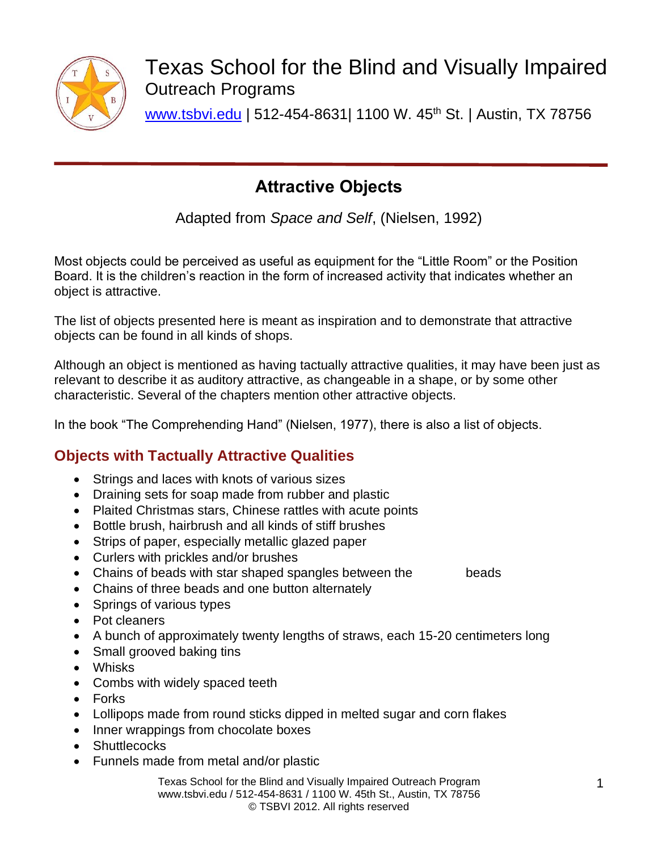

Texas School for the Blind and Visually Impaired Outreach Programs

[www.tsbvi.edu](http://www.tsbvi.edu/) | 512-454-8631| 1100 W. 45th St. | Austin, TX 78756

# **Attractive Objects**

Adapted from *Space and Self*, (Nielsen, 1992)

Most objects could be perceived as useful as equipment for the "Little Room" or the Position Board. It is the children's reaction in the form of increased activity that indicates whether an object is attractive.

The list of objects presented here is meant as inspiration and to demonstrate that attractive objects can be found in all kinds of shops.

Although an object is mentioned as having tactually attractive qualities, it may have been just as relevant to describe it as auditory attractive, as changeable in a shape, or by some other characteristic. Several of the chapters mention other attractive objects.

In the book "The Comprehending Hand" (Nielsen, 1977), there is also a list of objects.

# **Objects with Tactually Attractive Qualities**

- Strings and laces with knots of various sizes
- Draining sets for soap made from rubber and plastic
- Plaited Christmas stars, Chinese rattles with acute points
- Bottle brush, hairbrush and all kinds of stiff brushes
- Strips of paper, especially metallic glazed paper
- Curlers with prickles and/or brushes
- Chains of beads with star shaped spangles between the beads
- Chains of three beads and one button alternately
- Springs of various types
- Pot cleaners
- A bunch of approximately twenty lengths of straws, each 15-20 centimeters long
- Small grooved baking tins
- Whisks
- Combs with widely spaced teeth
- Forks
- Lollipops made from round sticks dipped in melted sugar and corn flakes
- Inner wrappings from chocolate boxes
- Shuttlecocks
- Funnels made from metal and/or plastic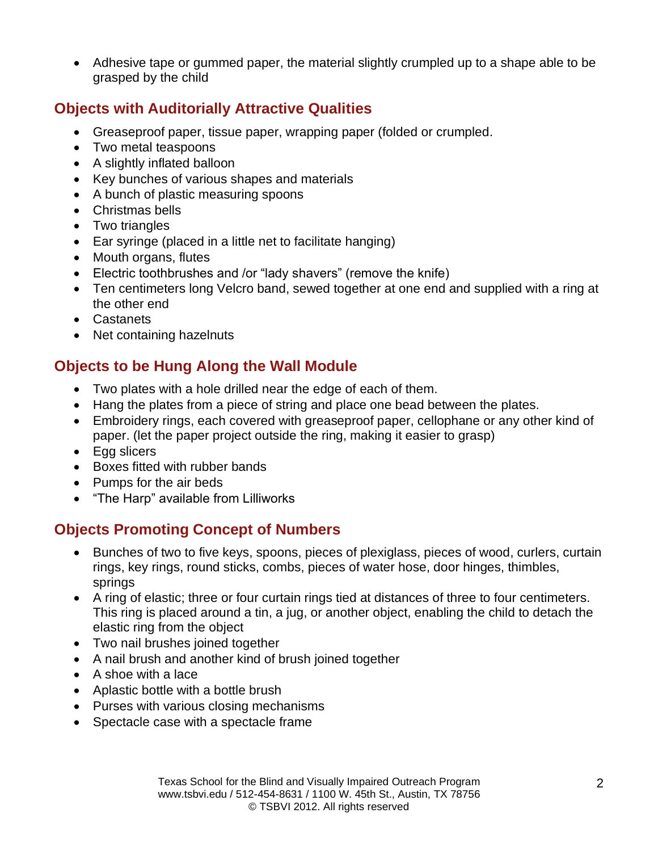• Adhesive tape or gummed paper, the material slightly crumpled up to a shape able to be grasped by the child

### **Objects with Auditorially Attractive Qualities**

- Greaseproof paper, tissue paper, wrapping paper (folded or crumpled.
- Two metal teaspoons
- A slightly inflated balloon
- Key bunches of various shapes and materials
- A bunch of plastic measuring spoons
- Christmas bells
- Two triangles
- Ear syringe (placed in a little net to facilitate hanging)
- Mouth organs, flutes
- Electric toothbrushes and /or "lady shavers" (remove the knife)
- Ten centimeters long Velcro band, sewed together at one end and supplied with a ring at the other end
- Castanets
- Net containing hazelnuts

# **Objects to be Hung Along the Wall Module**

- Two plates with a hole drilled near the edge of each of them.
- Hang the plates from a piece of string and place one bead between the plates.
- Embroidery rings, each covered with greaseproof paper, cellophane or any other kind of paper. (let the paper project outside the ring, making it easier to grasp)
- Egg slicers
- Boxes fitted with rubber bands
- Pumps for the air beds
- "The Harp" available from Lilliworks

# **Objects Promoting Concept of Numbers**

- Bunches of two to five keys, spoons, pieces of plexiglass, pieces of wood, curlers, curtain rings, key rings, round sticks, combs, pieces of water hose, door hinges, thimbles, springs
- A ring of elastic; three or four curtain rings tied at distances of three to four centimeters. This ring is placed around a tin, a jug, or another object, enabling the child to detach the elastic ring from the object
- Two nail brushes joined together
- A nail brush and another kind of brush joined together
- A shoe with a lace
- Aplastic bottle with a bottle brush
- Purses with various closing mechanisms
- Spectacle case with a spectacle frame